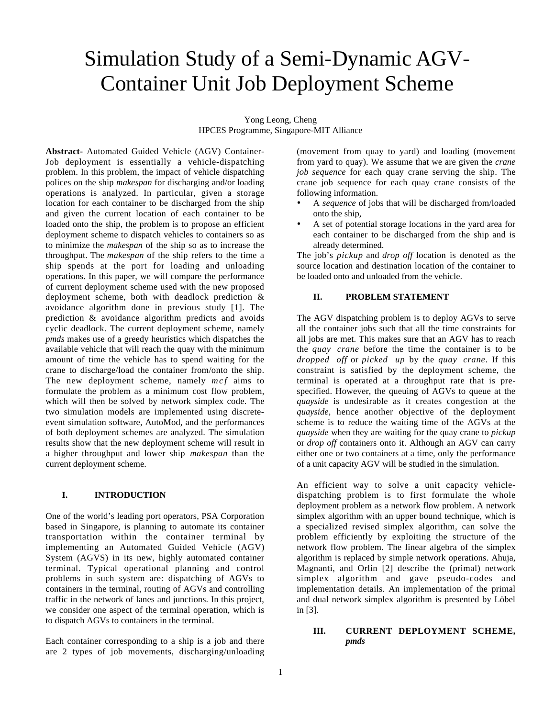# Simulation Study of a Semi-Dynamic AGV-Container Unit Job Deployment Scheme

Yong Leong, Cheng HPCES Programme, Singapore-MIT Alliance

**Abstract-** Automated Guided Vehicle (AGV) Container-Job deployment is essentially a vehicle-dispatching problem. In this problem, the impact of vehicle dispatching polices on the ship *makespan* for discharging and/or loading operations is analyzed. In particular, given a storage location for each container to be discharged from the ship and given the current location of each container to be loaded onto the ship, the problem is to propose an efficient deployment scheme to dispatch vehicles to containers so as to minimize the *makespan* of the ship so as to increase the throughput. The *makespan* of the ship refers to the time a ship spends at the port for loading and unloading operations. In this paper, we will compare the performance of current deployment scheme used with the new proposed deployment scheme, both with deadlock prediction & avoidance algorithm done in previous study [1]. The prediction & avoidance algorithm predicts and avoids cyclic deadlock. The current deployment scheme, namely *pmds* makes use of a greedy heuristics which dispatches the available vehicle that will reach the quay with the minimum amount of time the vehicle has to spend waiting for the crane to discharge/load the container from/onto the ship. The new deployment scheme, namely *mcf* aims to formulate the problem as a minimum cost flow problem, which will then be solved by network simplex code. The two simulation models are implemented using discreteevent simulation software, AutoMod, and the performances of both deployment schemes are analyzed. The simulation results show that the new deployment scheme will result in a higher throughput and lower ship *makespan* than the current deployment scheme.

#### **I. INTRODUCTION**

One of the world's leading port operators, PSA Corporation based in Singapore, is planning to automate its container transportation within the container terminal by implementing an Automated Guided Vehicle (AGV) System (AGVS) in its new, highly automated container terminal. Typical operational planning and control problems in such system are: dispatching of AGVs to containers in the terminal, routing of AGVs and controlling traffic in the network of lanes and junctions. In this project, we consider one aspect of the terminal operation, which is to dispatch AGVs to containers in the terminal.

Each container corresponding to a ship is a job and there are 2 types of job movements, discharging/unloading

(movement from quay to yard) and loading (movement from yard to quay). We assume that we are given the *crane job sequence* for each quay crane serving the ship. The crane job sequence for each quay crane consists of the following information.

- A *sequence* of jobs that will be discharged from/loaded onto the ship,
- A set of potential storage locations in the yard area for each container to be discharged from the ship and is already determined.

The job's *pickup* and *drop off* location is denoted as the source location and destination location of the container to be loaded onto and unloaded from the vehicle.

## **II. PROBLEM STATEMENT**

The AGV dispatching problem is to deploy AGVs to serve all the container jobs such that all the time constraints for all jobs are met. This makes sure that an AGV has to reach the *quay crane* before the time the container is to be *dropped off* or *picked up* by the *quay crane*. If this constraint is satisfied by the deployment scheme, the terminal is operated at a throughput rate that is prespecified. However, the queuing of AGVs to queue at the *quayside* is undesirable as it creates congestion at the *quayside*, hence another objective of the deployment scheme is to reduce the waiting time of the AGVs at the *quayside* when they are waiting for the quay crane to *pickup* or *drop off* containers onto it. Although an AGV can carry either one or two containers at a time, only the performance of a unit capacity AGV will be studied in the simulation.

An efficient way to solve a unit capacity vehicledispatching problem is to first formulate the whole deployment problem as a network flow problem. A network simplex algorithm with an upper bound technique, which is a specialized revised simplex algorithm, can solve the problem efficiently by exploiting the structure of the network flow problem. The linear algebra of the simplex algorithm is replaced by simple network operations. Ahuja, Magnanti, and Orlin [2] describe the (primal) network simplex algorithm and gave pseudo-codes and implementation details. An implementation of the primal and dual network simplex algorithm is presented by Löbel in [3].

# **III. CURRENT DEPLOYMENT SCHEME,** *pmds*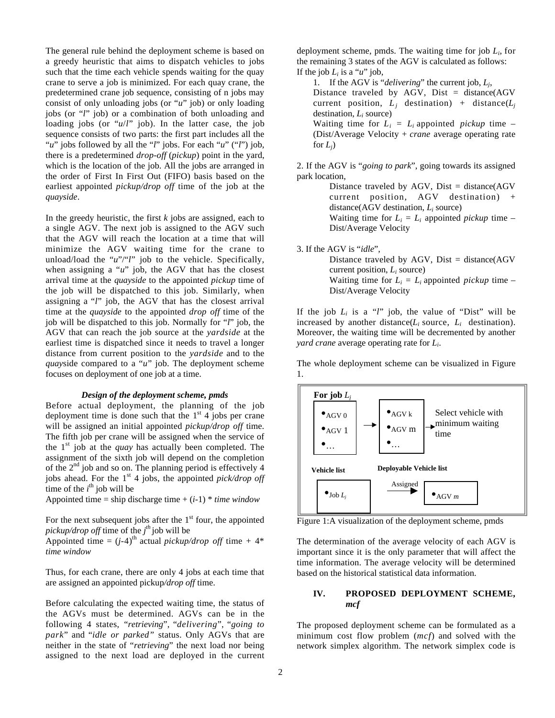The general rule behind the deployment scheme is based on a greedy heuristic that aims to dispatch vehicles to jobs such that the time each vehicle spends waiting for the quay crane to serve a job is minimized. For each quay crane, the predetermined crane job sequence, consisting of n jobs may consist of only unloading jobs (or "*u*" job) or only loading jobs (or "*l*" job) or a combination of both unloading and loading jobs (or "*u*/*l*" job). In the latter case, the job sequence consists of two parts: the first part includes all the "*u*" jobs followed by all the "*l*" jobs. For each "*u*" ("*l*") job, there is a predetermined *drop-off* (*pickup*) point in the yard, which is the location of the job. All the jobs are arranged in the order of First In First Out (FIFO) basis based on the earliest appointed *pickup/drop off* time of the job at the *quayside*.

In the greedy heuristic, the first *k* jobs are assigned, each to a single AGV. The next job is assigned to the AGV such that the AGV will reach the location at a time that will minimize the AGV waiting time for the crane to unload/load the "*u*"/"*l*" job to the vehicle. Specifically, when assigning a "*u*" job, the AGV that has the closest arrival time at the *quayside* to the appointed *pickup* time of the job will be dispatched to this job. Similarly, when assigning a "*l*" job, the AGV that has the closest arrival time at the *quayside* to the appointed *drop off* time of the job will be dispatched to this job. Normally for "*l*" job, the AGV that can reach the job source at the *yardside* at the earliest time is dispatched since it needs to travel a longer distance from current position to the *yardside* and to the *quay*side compared to a "*u*" job. The deployment scheme focuses on deployment of one job at a time.

#### *Design of the deployment scheme, pmds*

Before actual deployment, the planning of the job deployment time is done such that the  $1<sup>st</sup>$  4 jobs per crane will be assigned an initial appointed *pickup/drop off* time. The fifth job per crane will be assigned when the service of the  $1<sup>st</sup>$  job at the *quay* has actually been completed. The assignment of the sixth job will depend on the completion of the  $2<sup>nd</sup>$  job and so on. The planning period is effectively 4 jobs ahead. For the 1<sup>st</sup> 4 jobs, the appointed *pick/drop off* time of the  $i^{\text{th}}$  job will be

Appointed time = ship discharge time +  $(i-1)$  \* *time window* 

For the next subsequent jobs after the  $1<sup>st</sup>$  four, the appointed *pickup/drop off* time of the *j th* job will be

Appointed time =  $(j-4)$ <sup>th</sup> actual *pickup/drop off* time + 4\* *time window*

Thus, for each crane, there are only 4 jobs at each time that are assigned an appointed pickup*/drop off* time.

Before calculating the expected waiting time, the status of the AGVs must be determined. AGVs can be in the following 4 states, "*retrieving*", "*delivering*", "*going to park*" and "*idle or parked"* status. Only AGVs that are neither in the state of "*retrieving*" the next load nor being assigned to the next load are deployed in the current

deployment scheme, pmds. The waiting time for job *Li*, for the remaining 3 states of the AGV is calculated as follows: If the job  $L_i$  is a " $u$ " job,

1. If the AGV is "*delivering*" the current job, *Lj*, Distance traveled by AGV, Dist = distance(AGV current position,  $L_i$  destination) + distance( $L_i$ destination, *Li* source) Waiting time for  $L_i = L_i$  appointed *pickup* time – (Dist/Average Velocity + *crane* average operating rate for  $L_i$ )

2. If the AGV is "*going to park*", going towards its assigned park location,

> Distance traveled by AGV, Dist = distance(AGV current position, AGV destination) + distance(AGV destination, *Li* source) Waiting time for  $L_i = L_i$  appointed *pickup* time – Dist/Average Velocity

3. If the AGV is "*idle*", Distance traveled by AGV, Dist = distance(AGV current position, *Li* source)

Waiting time for  $L_i = L_i$  appointed *pickup* time – Dist/Average Velocity

If the job  $L_i$  is a "*l*" job, the value of "Dist" will be increased by another distance( $L_i$  source,  $L_i$  destination). Moreover, the waiting time will be decremented by another *yard crane* average operating rate for *Li*.

The whole deployment scheme can be visualized in Figure 1.



Figure 1:A visualization of the deployment scheme, pmds

The determination of the average velocity of each AGV is important since it is the only parameter that will affect the time information. The average velocity will be determined based on the historical statistical data information.

## **IV. PROPOSED DEPLOYMENT SCHEME,** *mcf*

The proposed deployment scheme can be formulated as a minimum cost flow problem (*mcf*) and solved with the network simplex algorithm. The network simplex code is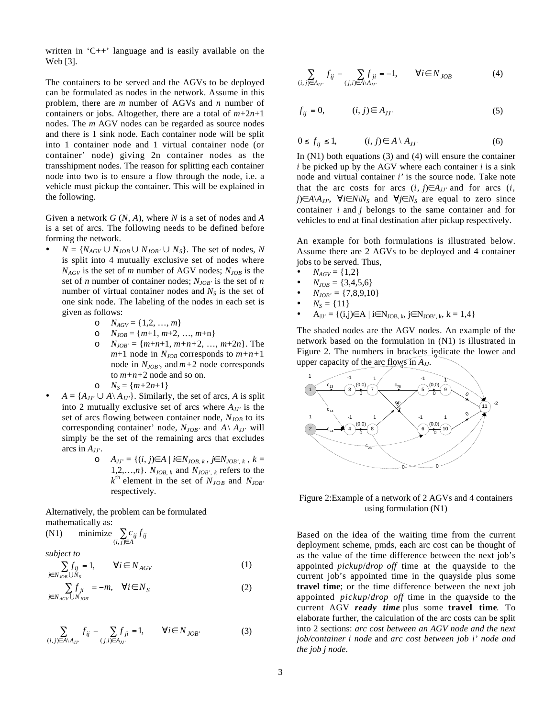written in  $C_{++}$  language and is easily available on the Web [3].

The containers to be served and the AGVs to be deployed can be formulated as nodes in the network. Assume in this problem, there are *m* number of AGVs and *n* number of containers or jobs. Altogether, there are a total of *m*+2*n*+1 nodes. The *m* AGV nodes can be regarded as source nodes and there is 1 sink node. Each container node will be split into 1 container node and 1 virtual container node (or container' node) giving 2n container nodes as the transshipment nodes. The reason for splitting each container node into two is to ensure a flow through the node, i.e. a vehicle must pickup the container. This will be explained in the following.

Given a network *G* (*N*, *A*), where *N* is a set of nodes and *A* is a set of arcs. The following needs to be defined before forming the network.

- $N = \{N_{AGV} \cup N_{JOB} \cup N_{JOB'} \cup N_S\}$ . The set of nodes, *N* is split into 4 mutually exclusive set of nodes where  $N_{AGV}$  is the set of *m* number of AGV nodes;  $N_{JOB}$  is the set of *n* number of container nodes;  $N_{JOB}$  is the set of *n* number of virtual container nodes and  $N<sub>S</sub>$  is the set of one sink node. The labeling of the nodes in each set is given as follows:
	- $O$   $N_{AGV} = \{1, 2, ..., m\}$
	- o  $N_{JOB} = \{m+1, m+2, ..., m+n\}$
	- $N_{JOB'} = \{m+n+1, m+n+2, ..., m+2n\}$ . The  $m+1$  node in  $N_{JOB}$  corresponds to  $m+n+1$ node in  $N_{JOR}$ , and  $m+2$  node corresponds to *m+n+*2 node and so on.

$$
\circ \quad N_S = \{m+2n+1\}
$$

- $A = \{A_{JJ'} \cup A \setminus A_{JJ'}\}$ . Similarly, the set of arcs, *A* is split into 2 mutually exclusive set of arcs where  $A_{JJ'}$  is the set of arcs flowing between container node,  $N_{JOB}$  to its corresponding container' node,  $N_{JOR'}$  and  $A \setminus A_{JI'}$  will simply be the set of the remaining arcs that excludes arcs in *AJJ'*.
	- o *AJJ'* = {(*i*, *j*)∈*A* | *i*∈*NJOB*, *k* , *j*∈*NJOB'*, *<sup>k</sup>* , *k* = 1,2,...,*n*}.  $N_{JOB, k}$  and  $N_{JOB', k}$  refers to the  $k^{\text{th}}$  element in the set of  $N_{JOB}$  and  $N_{JOB}$ respectively.

Alternatively, the problem can be formulated mathematically as:

$$
(N1) \qquad \text{minimize} \sum_{(i,j)\in A} c_{ij} f_{ij}
$$

*subject to*

$$
\sum_{j \in N_{JOB}} f_{ij} = 1, \qquad \forall i \in N_{AGV}
$$
 (1)

$$
\sum_{j \in N_{AGV}} f_{ji} = -m, \quad \forall i \in N_S
$$
 (2)

$$
\sum_{(i,j)\in A\setminus A_{JJ'}} f_{ij} - \sum_{(j,i)\in A_{JJ'}} f_{ji} = 1, \qquad \forall i \in N_{JOB'} \tag{3}
$$

$$
\sum_{(i,j)\in A_{JJ'}} f_{ij} - \sum_{(j,i)\in A\backslash A_{JJ'}} f_{ji} = -1, \qquad \forall i \in N_{JOB} \tag{4}
$$

$$
f_{ij} = 0, \qquad (i, j) \in A_{JJ'} \tag{5}
$$

$$
0 \le f_{ij} \le 1, \qquad (i, j) \in A \setminus A_{JJ'} \tag{6}
$$

In  $(N1)$  both equations  $(3)$  and  $(4)$  will ensure the container *i* be picked up by the AGV where each container *i* is a sink node and virtual container *i'* is the source node. Take note that the arc costs for arcs  $(i, j) \in A_{JJ'}$  and for arcs  $(i, j)$ *j*)∈*A*\*A<sub>JJ'</sub>*,  $\forall i \in N \setminus N_S$  and  $\forall j \in N_S$  are equal to zero since container *i* and *j* belongs to the same container and for vehicles to end at final destination after pickup respectively.

An example for both formulations is illustrated below. Assume there are 2 AGVs to be deployed and 4 container jobs to be served. Thus,

- $N_{AGV} = \{1,2\}$
- $N_{JOB} = \{3,4,5,6\}$
- $N_{JOB'} = \{7,8,9,10\}$
- $N_S = \{11\}$
- $A_{JJ'} = \{(i,j) \in A \mid i \in N_{JOB, k}, j \in N_{JOB', k}, k = 1, 4\}$

The shaded nodes are the AGV nodes. An example of the network based on the formulation in (N1) is illustrated in Figure 2. The numbers in brackets indicate the lower and upper capacity of the arc flows in  $A_{JJ}$ .



## Figure 2:Example of a network of 2 AGVs and 4 containers using formulation (N1)

Based on the idea of the waiting time from the current deployment scheme, pmds, each arc cost can be thought of as the value of the time difference between the next job's appointed *pickup*/*drop off* time at the quayside to the current job's appointed time in the quayside plus some **travel time**; or the time difference between the next job appointed *pickup*/*drop off* time in the quayside to the current AGV *ready time* plus some **travel time**. To elaborate further, the calculation of the arc costs can be split into 2 sections: *arc cost between an AGV node and the next job/container i node* and *arc cost between job i' node and the job j node*.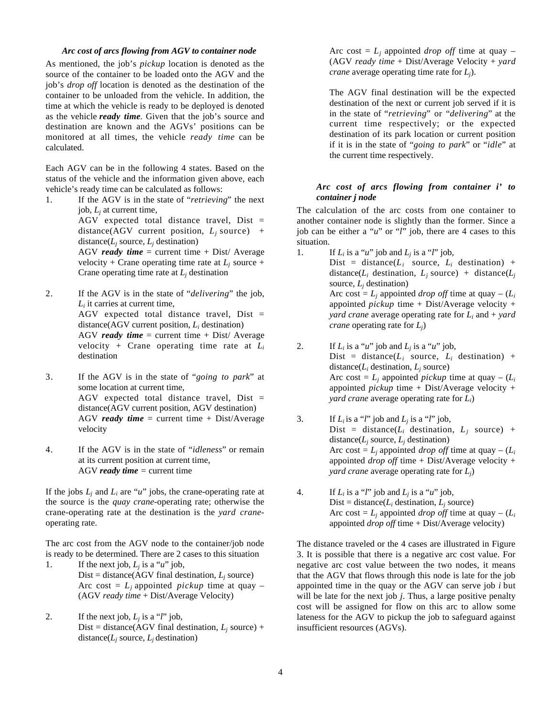## *Arc cost of arcs flowing from AGV to container node*

As mentioned, the job's *pickup* location is denoted as the source of the container to be loaded onto the AGV and the job's *drop off* location is denoted as the destination of the container to be unloaded from the vehicle. In addition, the time at which the vehicle is ready to be deployed is denoted as the vehicle *ready time*. Given that the job's source and destination are known and the AGVs' positions can be monitored at all times, the vehicle *ready time* can be calculated.

Each AGV can be in the following 4 states. Based on the status of the vehicle and the information given above, each vehicle's ready time can be calculated as follows:

1. If the AGV is in the state of "*retrieving*" the next job, *Lj* at current time, AGV expected total distance travel, Dist =

distance(AGV current position,  $L_i$  source) + distance( $L_i$  source,  $L_i$  destination)

AGV *ready time* = current time + Dist/ Average velocity + Crane operating time rate at  $L_i$  source + Crane operating time rate at  $L_i$  destination

- 2. If the AGV is in the state of "*delivering*" the job, *Li* it carries at current time, AGV expected total distance travel, Dist = distance(AGV current position, *Li* destination) AGV *ready time* = current time + Dist/ Average velocity + Crane operating time rate at *Li* destination
- 3. If the AGV is in the state of "*going to park*" at some location at current time, AGV expected total distance travel,  $Dist =$ distance(AGV current position, AGV destination) AGV *ready time* = current time + Dist/Average velocity
- 4. If the AGV is in the state of "*idleness*" or remain at its current position at current time, AGV *ready time =* current time

If the jobs  $L_i$  and  $L_i$  are " $u$ " jobs, the crane-operating rate at the source is the *quay crane-*operating rate; otherwise the crane-operating rate at the destination is the *yard crane*operating rate.

The arc cost from the AGV node to the container/job node is ready to be determined. There are 2 cases to this situation

- 1. If the next job,  $L_i$  is a "*u*" job, Dist = distance( $AGV$  final destination,  $L_i$  source) Arc cost =  $L_i$  appointed *pickup* time at quay – (AGV *ready time* + Dist/Average Velocity)
- 2. If the next job,  $L_i$  is a "*l*" job, Dist = distance(AGV final destination,  $L_j$  source) + distance( $L_i$  source,  $L_i$  destination)

Arc cost =  $L_i$  appointed *drop off* time at quay – (AGV *ready time* + Dist/Average Velocity + *yard crane* average operating time rate for *Lj*).

The AGV final destination will be the expected destination of the next or current job served if it is in the state of "*retrieving*" or "*delivering*" at the current time respectively; or the expected destination of its park location or current position if it is in the state of "*going to park*" or "*idle*" at the current time respectively.

## *Arc cost of arcs flowing from container i' to container j node*

The calculation of the arc costs from one container to another container node is slightly than the former. Since a job can be either a "*u*" or "*l*" job, there are 4 cases to this situation.

- 1. If  $L_i$  is a "*u*" job and  $L_j$  is a "*l*" job, Dist = distance( $L_i$  source,  $L_i$  destination) + distance( $L_i$  destination,  $L_j$  source) + distance( $L_j$ source,  $L_i$  destination) Arc cost =  $L_i$  appointed *drop off* time at quay –  $(L_i)$ appointed *pickup* time + Dist/Average velocity + *yard crane* average operating rate for *Li* and + *yard crane* operating rate for *Lj*)
- 2. If  $L_i$  is a "*u*" job and  $L_i$  is a "*u*" job, Dist = distance( $L_i$  source,  $L_i$  destination) + distance( $L_i$  destination,  $L_i$  source) Arc cost =  $L_i$  appointed *pickup* time at quay –  $(L_i)$ appointed *pickup* time + Dist/Average velocity + *yard crane* average operating rate for *Li*)
- 3. If  $L_i$  is a "*l*" job and  $L_j$  is a "*l*" job, Dist = distance( $L_i$  destination,  $L_j$  source) + distance( $L_i$  source,  $L_i$  destination) Arc cost =  $L_i$  appointed *drop off* time at quay –  $(L_i)$ appointed *drop off* time + Dist/Average velocity + *yard crane* average operating rate for *Lj*)
- 4. If  $L_i$  is a "*l*" job and  $L_i$  is a "*u*" job, Dist = distance( $L_i$  destination,  $L_i$  source) Arc cost =  $L_i$  appointed *drop off* time at quay –  $(L_i)$ appointed *drop off* time + Dist/Average velocity)

The distance traveled or the 4 cases are illustrated in Figure 3. It is possible that there is a negative arc cost value. For negative arc cost value between the two nodes, it means that the AGV that flows through this node is late for the job appointed time in the quay or the AGV can serve job *i* but will be late for the next job *j*. Thus, a large positive penalty cost will be assigned for flow on this arc to allow some lateness for the AGV to pickup the job to safeguard against insufficient resources (AGVs).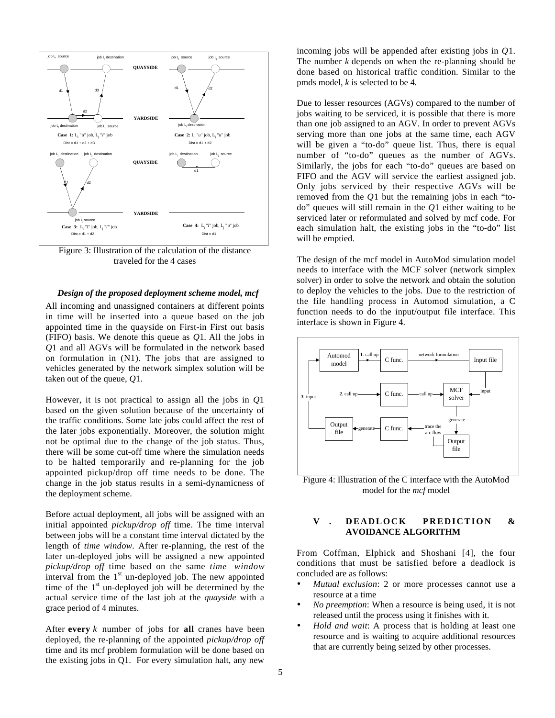

Figure 3: Illustration of the calculation of the distance traveled for the 4 cases

## *Design of the proposed deployment scheme model, mcf*

All incoming and unassigned containers at different points in time will be inserted into a queue based on the job appointed time in the quayside on First-in First out basis (FIFO) basis. We denote this queue as *Q*1*.* All the jobs in *Q*1 and all AGVs will be formulated in the network based on formulation in (N1). The jobs that are assigned to vehicles generated by the network simplex solution will be taken out of the queue, *Q*1.

However, it is not practical to assign all the jobs in *Q*1 based on the given solution because of the uncertainty of the traffic conditions. Some late jobs could affect the rest of the later jobs exponentially. Moreover, the solution might not be optimal due to the change of the job status. Thus, there will be some cut-off time where the simulation needs to be halted temporarily and re-planning for the job appointed pickup/drop off time needs to be done. The change in the job status results in a semi-dynamicness of the deployment scheme.

Before actual deployment, all jobs will be assigned with an initial appointed *pickup/drop off* time. The time interval between jobs will be a constant time interval dictated by the length of *time window.* After re-planning, the rest of the later un-deployed jobs will be assigned a new appointed *pickup/drop off* time based on the same *time window* interval from the  $1<sup>st</sup>$  un-deployed job. The new appointed time of the  $1<sup>st</sup>$  un-deployed job will be determined by the actual service time of the last job at the *quayside* with a grace period of 4 minutes.

After **every** *k* number of jobs for **all** cranes have been deployed, the re-planning of the appointed *pickup/drop off* time and its mcf problem formulation will be done based on the existing jobs in Q1. For every simulation halt, any new

incoming jobs will be appended after existing jobs in *Q*1. The number *k* depends on when the re-planning should be done based on historical traffic condition. Similar to the pmds model, *k* is selected to be 4*.*

Due to lesser resources (AGVs) compared to the number of jobs waiting to be serviced, it is possible that there is more than one job assigned to an AGV. In order to prevent AGVs serving more than one jobs at the same time, each AGV will be given a "to-do" queue list. Thus, there is equal number of "to-do" queues as the number of AGVs. Similarly, the jobs for each "to-do" queues are based on FIFO and the AGV will service the earliest assigned job. Only jobs serviced by their respective AGVs will be removed from the *Q*1 but the remaining jobs in each "todo" queues will still remain in the *Q*1 either waiting to be serviced later or reformulated and solved by mcf code. For each simulation halt, the existing jobs in the "to-do" list will be emptied.

The design of the mcf model in AutoMod simulation model needs to interface with the MCF solver (network simplex solver) in order to solve the network and obtain the solution to deploy the vehicles to the jobs. Due to the restriction of the file handling process in Automod simulation, a C function needs to do the input/output file interface. This interface is shown in Figure 4.



Figure 4: Illustration of the C interface with the AutoMod model for the *mcf* model

# **V . DEADLOCK PREDICTION & AVOIDANCE ALGORITHM**

From Coffman, Elphick and Shoshani [4], the four conditions that must be satisfied before a deadlock is concluded are as follows:

- *Mutual exclusion*: 2 or more processes cannot use a resource at a time
- *No preemption*: When a resource is being used, it is not released until the process using it finishes with it.
- *Hold and wait*: A process that is holding at least one resource and is waiting to acquire additional resources that are currently being seized by other processes.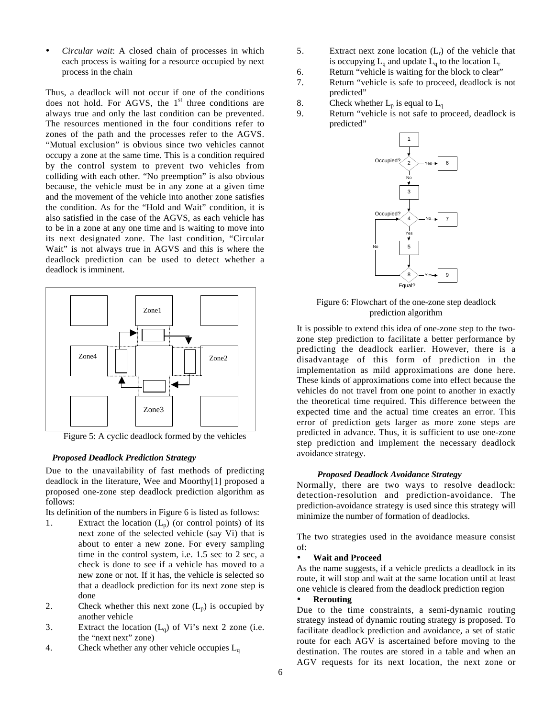• *Circular wait*: A closed chain of processes in which each process is waiting for a resource occupied by next process in the chain

Thus, a deadlock will not occur if one of the conditions does not hold. For AGVS, the  $1<sup>st</sup>$  three conditions are always true and only the last condition can be prevented. The resources mentioned in the four conditions refer to zones of the path and the processes refer to the AGVS. "Mutual exclusion" is obvious since two vehicles cannot occupy a zone at the same time. This is a condition required by the control system to prevent two vehicles from colliding with each other. "No preemption" is also obvious because, the vehicle must be in any zone at a given time and the movement of the vehicle into another zone satisfies the condition. As for the "Hold and Wait" condition, it is also satisfied in the case of the AGVS, as each vehicle has to be in a zone at any one time and is waiting to move into its next designated zone. The last condition, "Circular Wait" is not always true in AGVS and this is where the deadlock prediction can be used to detect whether a deadlock is imminent.



Figure 5: A cyclic deadlock formed by the vehicles

## *Proposed Deadlock Prediction Strategy*

Due to the unavailability of fast methods of predicting deadlock in the literature, Wee and Moorthy[1] proposed a proposed one-zone step deadlock prediction algorithm as follows:

Its definition of the numbers in Figure 6 is listed as follows:

- 1. Extract the location  $(L_p)$  (or control points) of its next zone of the selected vehicle (say Vi) that is about to enter a new zone. For every sampling time in the control system, i.e. 1.5 sec to 2 sec, a check is done to see if a vehicle has moved to a new zone or not. If it has, the vehicle is selected so that a deadlock prediction for its next zone step is done
- 2. Check whether this next zone  $(L_p)$  is occupied by another vehicle
- 3. Extract the location  $(L_q)$  of Vi's next 2 zone (i.e. the "next next" zone)
- 4. Check whether any other vehicle occupies  $L_q$
- 5. Extract next zone location  $(L_r)$  of the vehicle that is occupying  $L_q$  and update  $L_q$  to the location  $L_r$
- 6. Return "vehicle is waiting for the block to clear"
- 7. Return "vehicle is safe to proceed, deadlock is not predicted"
- 8. Check whether  $L_p$  is equal to  $L_q$
- 9. Return "vehicle is not safe to proceed, deadlock is predicted"



Figure 6: Flowchart of the one-zone step deadlock prediction algorithm

It is possible to extend this idea of one-zone step to the twozone step prediction to facilitate a better performance by predicting the deadlock earlier. However, there is a disadvantage of this form of prediction in the implementation as mild approximations are done here. These kinds of approximations come into effect because the vehicles do not travel from one point to another in exactly the theoretical time required. This difference between the expected time and the actual time creates an error. This error of prediction gets larger as more zone steps are predicted in advance. Thus, it is sufficient to use one-zone step prediction and implement the necessary deadlock avoidance strategy.

#### *Proposed Deadlock Avoidance Strategy*

Normally, there are two ways to resolve deadlock: detection-resolution and prediction-avoidance. The prediction-avoidance strategy is used since this strategy will minimize the number of formation of deadlocks.

The two strategies used in the avoidance measure consist of:

# • **Wait and Proceed**

As the name suggests, if a vehicle predicts a deadlock in its route, it will stop and wait at the same location until at least one vehicle is cleared from the deadlock prediction region

# • **Rerouting**

Due to the time constraints, a semi-dynamic routing strategy instead of dynamic routing strategy is proposed. To facilitate deadlock prediction and avoidance, a set of static route for each AGV is ascertained before moving to the destination. The routes are stored in a table and when an AGV requests for its next location, the next zone or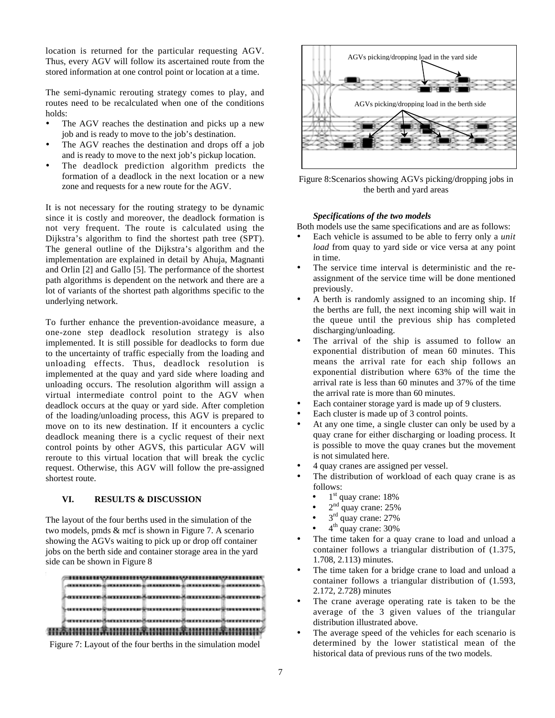location is returned for the particular requesting AGV. Thus, every AGV will follow its ascertained route from the stored information at one control point or location at a time.

The semi-dynamic rerouting strategy comes to play, and routes need to be recalculated when one of the conditions holds:

- The AGV reaches the destination and picks up a new job and is ready to move to the job's destination.
- The AGV reaches the destination and drops off a job and is ready to move to the next job's pickup location.
- The deadlock prediction algorithm predicts the formation of a deadlock in the next location or a new zone and requests for a new route for the AGV.

It is not necessary for the routing strategy to be dynamic since it is costly and moreover, the deadlock formation is not very frequent. The route is calculated using the Dijkstra's algorithm to find the shortest path tree (SPT). The general outline of the Dijkstra's algorithm and the implementation are explained in detail by Ahuja, Magnanti and Orlin [2] and Gallo [5]. The performance of the shortest path algorithms is dependent on the network and there are a lot of variants of the shortest path algorithms specific to the underlying network.

To further enhance the prevention-avoidance measure, a one-zone step deadlock resolution strategy is also implemented. It is still possible for deadlocks to form due to the uncertainty of traffic especially from the loading and unloading effects. Thus, deadlock resolution is implemented at the quay and yard side where loading and unloading occurs. The resolution algorithm will assign a virtual intermediate control point to the AGV when deadlock occurs at the quay or yard side. After completion of the loading/unloading process, this AGV is prepared to move on to its new destination. If it encounters a cyclic deadlock meaning there is a cyclic request of their next control points by other AGVS, this particular AGV will reroute to this virtual location that will break the cyclic request. Otherwise, this AGV will follow the pre-assigned shortest route.

# **VI. RESULTS & DISCUSSION**

The layout of the four berths used in the simulation of the two models, pmds & mcf is shown in Figure 7. A scenario showing the AGVs waiting to pick up or drop off container jobs on the berth side and container storage area in the yard side can be shown in Figure 8







Figure 8:Scenarios showing AGVs picking/dropping jobs in the berth and yard areas

#### *Specifications of the two models*

Both models use the same specifications and are as follows:

- Each vehicle is assumed to be able to ferry only a *unit load* from quay to yard side or vice versa at any point in time.
- The service time interval is deterministic and the reassignment of the service time will be done mentioned previously.
- A berth is randomly assigned to an incoming ship. If the berths are full, the next incoming ship will wait in the queue until the previous ship has completed discharging/unloading.
- The arrival of the ship is assumed to follow an exponential distribution of mean 60 minutes. This means the arrival rate for each ship follows an exponential distribution where 63% of the time the arrival rate is less than 60 minutes and 37% of the time the arrival rate is more than 60 minutes.
- Each container storage yard is made up of 9 clusters.
- Each cluster is made up of 3 control points.
- At any one time, a single cluster can only be used by a quay crane for either discharging or loading process. It is possible to move the quay cranes but the movement is not simulated here.
- 4 quay cranes are assigned per vessel.
- The distribution of workload of each quay crane is as follows:
	- $1<sup>st</sup>$  quay crane: 18%
	- $2<sup>nd</sup>$  quay crane: 25%
	- $\frac{2}{3}$ <sup>rd</sup> quay crane: 27%
	- 4<sup>th</sup> quay crane: 30%
- The time taken for a quay crane to load and unload a container follows a triangular distribution of (1.375, 1.708, 2.113) minutes.
- The time taken for a bridge crane to load and unload a container follows a triangular distribution of (1.593, 2.172, 2.728) minutes
- The crane average operating rate is taken to be the average of the 3 given values of the triangular distribution illustrated above.
- The average speed of the vehicles for each scenario is determined by the lower statistical mean of the historical data of previous runs of the two models.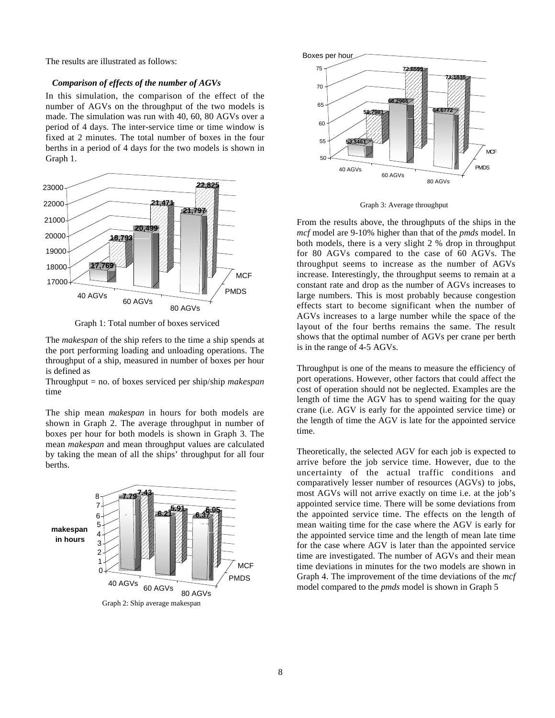The results are illustrated as follows:

#### *Comparison of effects of the number of AGVs*

In this simulation, the comparison of the effect of the number of AGVs on the throughput of the two models is made. The simulation was run with 40, 60, 80 AGVs over a period of 4 days. The inter-service time or time window is fixed at 2 minutes. The total number of boxes in the four berths in a period of 4 days for the two models is shown in Graph 1.



Graph 1: Total number of boxes serviced

The *makespan* of the ship refers to the time a ship spends at the port performing loading and unloading operations. The throughput of a ship, measured in number of boxes per hour is defined as

Throughput = no. of boxes serviced per ship/ship *makespan* time

The ship mean *makespan* in hours for both models are shown in Graph 2. The average throughput in number of boxes per hour for both models is shown in Graph 3. The mean *makespan* and mean throughput values are calculated by taking the mean of all the ships' throughput for all four berths.





Graph 3: Average throughput

From the results above, the throughputs of the ships in the *mcf* model are 9-10% higher than that of the *pmds* model. In both models, there is a very slight 2 % drop in throughput for 80 AGVs compared to the case of 60 AGVs. The throughput seems to increase as the number of AGVs increase. Interestingly, the throughput seems to remain at a constant rate and drop as the number of AGVs increases to large numbers. This is most probably because congestion effects start to become significant when the number of AGVs increases to a large number while the space of the layout of the four berths remains the same. The result shows that the optimal number of AGVs per crane per berth is in the range of 4-5 AGVs.

Throughput is one of the means to measure the efficiency of port operations. However, other factors that could affect the cost of operation should not be neglected. Examples are the length of time the AGV has to spend waiting for the quay crane (i.e. AGV is early for the appointed service time) or the length of time the AGV is late for the appointed service time.

Theoretically, the selected AGV for each job is expected to arrive before the job service time. However, due to the uncertainty of the actual traffic conditions and comparatively lesser number of resources (AGVs) to jobs, most AGVs will not arrive exactly on time i.e. at the job's appointed service time. There will be some deviations from the appointed service time. The effects on the length of mean waiting time for the case where the AGV is early for the appointed service time and the length of mean late time for the case where AGV is later than the appointed service time are investigated. The number of AGVs and their mean time deviations in minutes for the two models are shown in Graph 4. The improvement of the time deviations of the *mcf* model compared to the *pmds* model is shown in Graph 5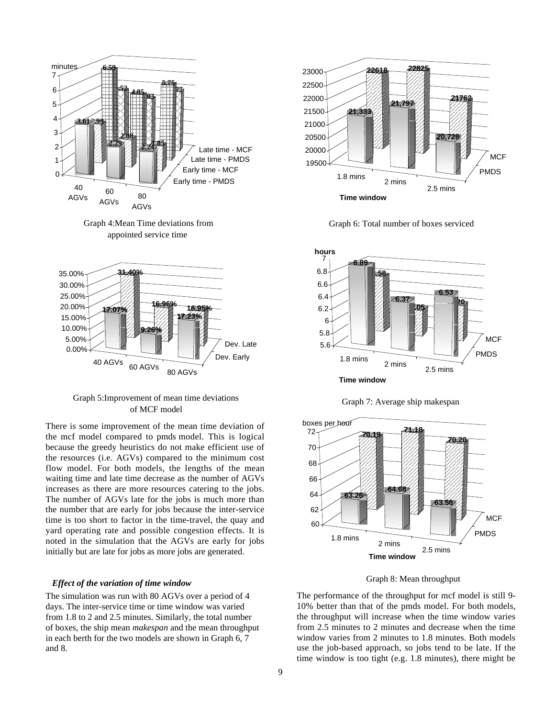

Graph 4:Mean Time deviations from appointed service time



Graph 5:Improvement of mean time deviations of MCF model

There is some improvement of the mean time deviation of the mcf model compared to pmds model. This is logical because the greedy heuristics do not make efficient use of the resources (i.e. AGVs) compared to the minimum cost flow model. For both models, the lengths of the mean waiting time and late time decrease as the number of AGVs increases as there are more resources catering to the jobs. The number of AGVs late for the jobs is much more than the number that are early for jobs because the inter-service time is too short to factor in the time-travel, the quay and yard operating rate and possible congestion effects. It is noted in the simulation that the AGVs are early for jobs initially but are late for jobs as more jobs are generated.

#### *Effect of the variation of time window*

The simulation was run with 80 AGVs over a period of 4 days. The inter-service time or time window was varied from 1.8 to 2 and 2.5 minutes. Similarly, the total number of boxes, the ship mean *makespan* and the mean throughput in each berth for the two models are shown in Graph 6, 7 and 8.







Graph 7: Average ship makespan





The performance of the throughput for mcf model is still 9- 10% better than that of the pmds model. For both models, the throughput will increase when the time window varies from 2.5 minutes to 2 minutes and decrease when the time window varies from 2 minutes to 1.8 minutes. Both models use the job-based approach, so jobs tend to be late. If the time window is too tight (e.g. 1.8 minutes), there might be